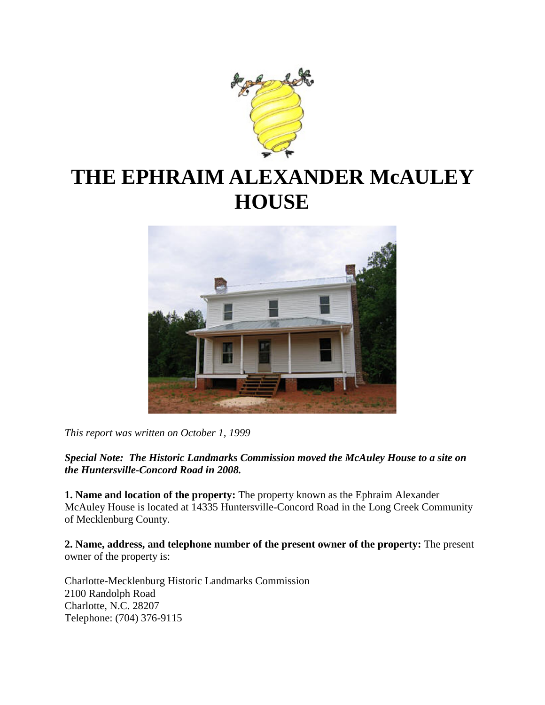

# **THE EPHRAIM ALEXANDER McAULEY HOUSE**



*This report was written on October 1, 1999*

*Special Note: The Historic Landmarks Commission moved the McAuley House to a site on the Huntersville-Concord Road in 2008.*

**1. Name and location of the property:** The property known as the Ephraim Alexander McAuley House is located at 14335 Huntersville-Concord Road in the Long Creek Community of Mecklenburg County.

**2. Name, address, and telephone number of the present owner of the property:** The present owner of the property is:

Charlotte-Mecklenburg Historic Landmarks Commission 2100 Randolph Road Charlotte, N.C. 28207 Telephone: (704) 376-9115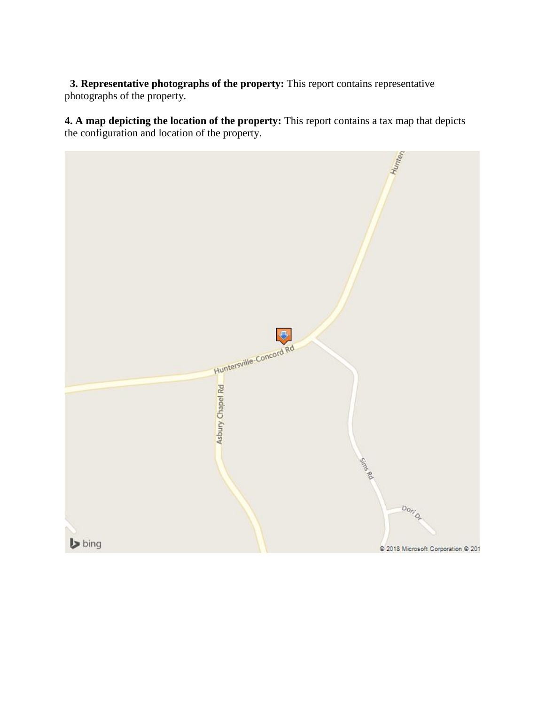**3. Representative photographs of the property:** This report contains representative photographs of the property.

**4. A map depicting the location of the property:** This report contains a tax map that depicts the configuration and location of the property.

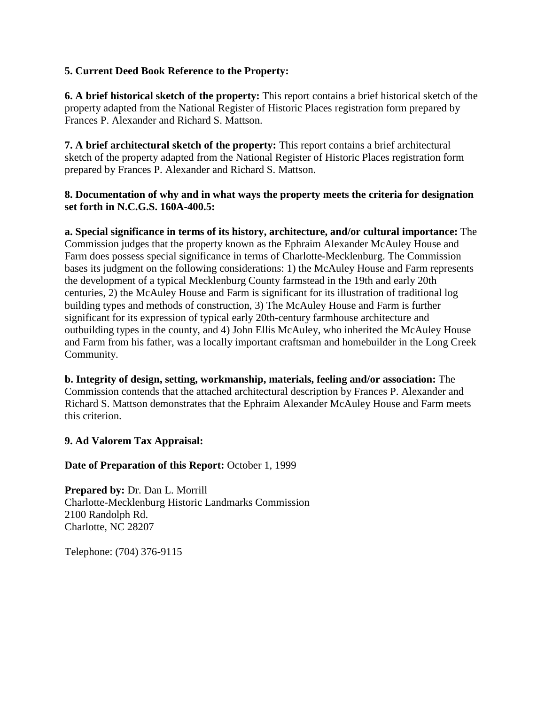### **5. Current Deed Book Reference to the Property:**

**6. A brief historical sketch of the property:** This report contains a brief historical sketch of the property adapted from the National Register of Historic Places registration form prepared by Frances P. Alexander and Richard S. Mattson.

**7. A brief architectural sketch of the property:** This report contains a brief architectural sketch of the property adapted from the National Register of Historic Places registration form prepared by Frances P. Alexander and Richard S. Mattson.

### **8. Documentation of why and in what ways the property meets the criteria for designation set forth in N.C.G.S. 160A-400.5:**

**a. Special significance in terms of its history, architecture, and/or cultural importance:** The Commission judges that the property known as the Ephraim Alexander McAuley House and Farm does possess special significance in terms of Charlotte-Mecklenburg. The Commission bases its judgment on the following considerations: 1) the McAuley House and Farm represents the development of a typical Mecklenburg County farmstead in the 19th and early 20th centuries, 2) the McAuley House and Farm is significant for its illustration of traditional log building types and methods of construction, 3) The McAuley House and Farm is further significant for its expression of typical early 20th-century farmhouse architecture and outbuilding types in the county, and 4) John Ellis McAuley, who inherited the McAuley House and Farm from his father, was a locally important craftsman and homebuilder in the Long Creek Community.

**b. Integrity of design, setting, workmanship, materials, feeling and/or association:** The Commission contends that the attached architectural description by Frances P. Alexander and Richard S. Mattson demonstrates that the Ephraim Alexander McAuley House and Farm meets this criterion.

### **9. Ad Valorem Tax Appraisal:**

### **Date of Preparation of this Report:** October 1, 1999

**Prepared by:** Dr. Dan L. Morrill Charlotte-Mecklenburg Historic Landmarks Commission 2100 Randolph Rd. Charlotte, NC 28207

Telephone: (704) 376-9115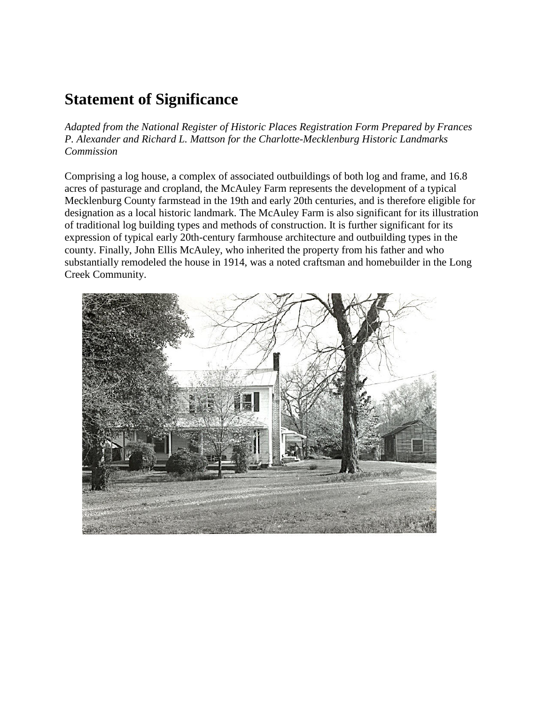## **Statement of Significance**

*Adapted from the National Register of Historic Places Registration Form Prepared by Frances P. Alexander and Richard L. Mattson for the Charlotte-Mecklenburg Historic Landmarks Commission* 

Comprising a log house, a complex of associated outbuildings of both log and frame, and 16.8 acres of pasturage and cropland, the McAuley Farm represents the development of a typical Mecklenburg County farmstead in the 19th and early 20th centuries, and is therefore eligible for designation as a local historic landmark. The McAuley Farm is also significant for its illustration of traditional log building types and methods of construction. It is further significant for its expression of typical early 20th-century farmhouse architecture and outbuilding types in the county. Finally, John Ellis McAuley, who inherited the property from his father and who substantially remodeled the house in 1914, was a noted craftsman and homebuilder in the Long Creek Community.

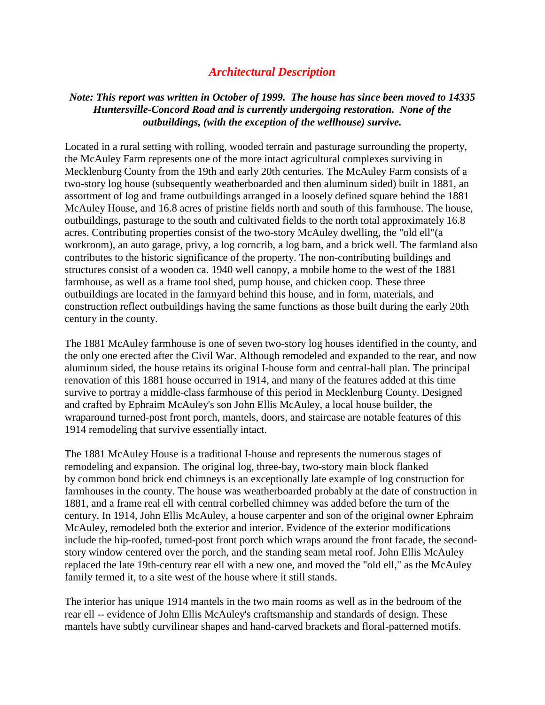### *Architectural Description*

### *Note: This report was written in October of 1999. The house has since been moved to 14335 Huntersville-Concord Road and is currently undergoing restoration. None of the outbuildings, (with the exception of the wellhouse) survive.*

Located in a rural setting with rolling, wooded terrain and pasturage surrounding the property, the McAuley Farm represents one of the more intact agricultural complexes surviving in Mecklenburg County from the 19th and early 20th centuries. The McAuley Farm consists of a two-story log house (subsequently weatherboarded and then aluminum sided) built in 1881, an assortment of log and frame outbuildings arranged in a loosely defined square behind the 1881 McAuley House, and 16.8 acres of pristine fields north and south of this farmhouse. The house, outbuildings, pasturage to the south and cultivated fields to the north total approximately 16.8 acres. Contributing properties consist of the two-story McAuley dwelling, the "old ell"(a workroom), an auto garage, privy, a log corncrib, a log barn, and a brick well. The farmland also contributes to the historic significance of the property. The non-contributing buildings and structures consist of a wooden ca. 1940 well canopy, a mobile home to the west of the 1881 farmhouse, as well as a frame tool shed, pump house, and chicken coop. These three outbuildings are located in the farmyard behind this house, and in form, materials, and construction reflect outbuildings having the same functions as those built during the early 20th century in the county.

The 1881 McAuley farmhouse is one of seven two-story log houses identified in the county, and the only one erected after the Civil War. Although remodeled and expanded to the rear, and now aluminum sided, the house retains its original I-house form and central-hall plan. The principal renovation of this 1881 house occurred in 1914, and many of the features added at this time survive to portray a middle-class farmhouse of this period in Mecklenburg County. Designed and crafted by Ephraim McAuley's son John Ellis McAuley, a local house builder, the wraparound turned-post front porch, mantels, doors, and staircase are notable features of this 1914 remodeling that survive essentially intact.

The 1881 McAuley House is a traditional I-house and represents the numerous stages of remodeling and expansion. The original log, three-bay, two-story main block flanked by common bond brick end chimneys is an exceptionally late example of log construction for farmhouses in the county. The house was weatherboarded probably at the date of construction in 1881, and a frame real ell with central corbelled chimney was added before the turn of the century. In 1914, John Ellis McAuley, a house carpenter and son of the original owner Ephraim McAuley, remodeled both the exterior and interior. Evidence of the exterior modifications include the hip-roofed, turned-post front porch which wraps around the front facade, the secondstory window centered over the porch, and the standing seam metal roof. John Ellis McAuley replaced the late 19th-century rear ell with a new one, and moved the "old ell," as the McAuley family termed it, to a site west of the house where it still stands.

The interior has unique 1914 mantels in the two main rooms as well as in the bedroom of the rear ell -- evidence of John Ellis McAuley's craftsmanship and standards of design. These mantels have subtly curvilinear shapes and hand-carved brackets and floral-patterned motifs.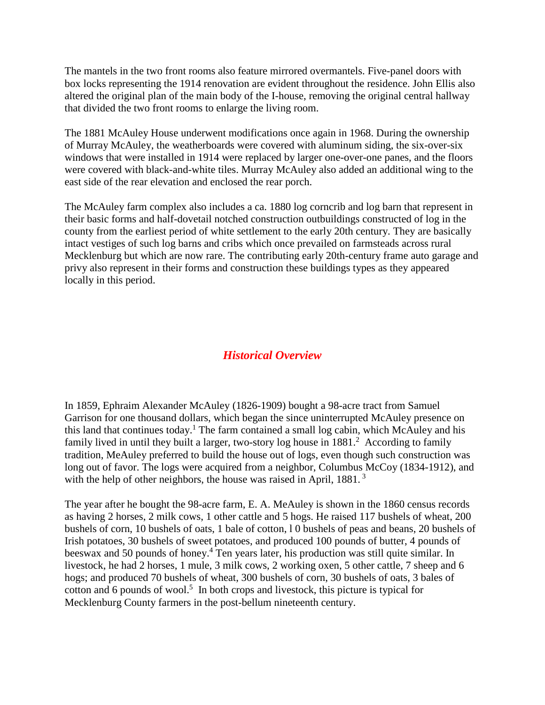The mantels in the two front rooms also feature mirrored overmantels. Five-panel doors with box locks representing the 1914 renovation are evident throughout the residence. John Ellis also altered the original plan of the main body of the I-house, removing the original central hallway that divided the two front rooms to enlarge the living room.

The 1881 McAuley House underwent modifications once again in 1968. During the ownership of Murray McAuley, the weatherboards were covered with aluminum siding, the six-over-six windows that were installed in 1914 were replaced by larger one-over-one panes, and the floors were covered with black-and-white tiles. Murray McAuley also added an additional wing to the east side of the rear elevation and enclosed the rear porch.

The McAuley farm complex also includes a ca. 1880 log corncrib and log barn that represent in their basic forms and half-dovetail notched construction outbuildings constructed of log in the county from the earliest period of white settlement to the early 20th century. They are basically intact vestiges of such log barns and cribs which once prevailed on farmsteads across rural Mecklenburg but which are now rare. The contributing early 20th-century frame auto garage and privy also represent in their forms and construction these buildings types as they appeared locally in this period.

### *Historical Overview*

In 1859, Ephraim Alexander McAuley (1826-1909) bought a 98-acre tract from Samuel Garrison for one thousand dollars, which began the since uninterrupted McAuley presence on this land that continues today.<sup>1</sup> The farm contained a small log cabin, which McAuley and his family lived in until they built a larger, two-story log house in  $1881<sup>2</sup>$  According to family tradition, MeAuley preferred to build the house out of logs, even though such construction was long out of favor. The logs were acquired from a neighbor, Columbus McCoy (1834-1912), and with the help of other neighbors, the house was raised in April, 1881.<sup>3</sup>

The year after he bought the 98-acre farm, E. A. MeAuley is shown in the 1860 census records as having 2 horses, 2 milk cows, 1 other cattle and 5 hogs. He raised 117 bushels of wheat, 200 bushels of corn, 10 bushels of oats, 1 bale of cotton, l 0 bushels of peas and beans, 20 bushels of Irish potatoes, 30 bushels of sweet potatoes, and produced 100 pounds of butter, 4 pounds of beeswax and 50 pounds of honey.<sup>4</sup> Ten years later, his production was still quite similar. In livestock, he had 2 horses, 1 mule, 3 milk cows, 2 working oxen, 5 other cattle, 7 sheep and 6 hogs; and produced 70 bushels of wheat, 300 bushels of corn, 30 bushels of oats, 3 bales of cotton and 6 pounds of wool.<sup>5</sup> In both crops and livestock, this picture is typical for Mecklenburg County farmers in the post-bellum nineteenth century.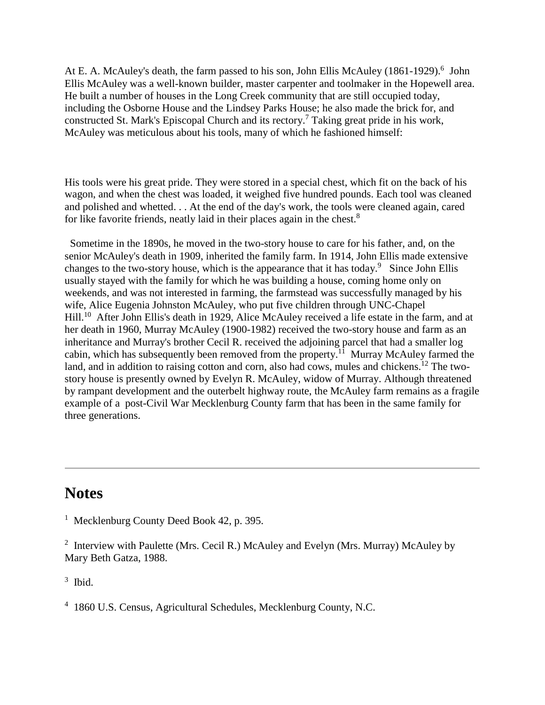At E. A. McAuley's death, the farm passed to his son, John Ellis McAuley (1861-1929).<sup>6</sup> John Ellis McAuley was a well-known builder, master carpenter and toolmaker in the Hopewell area. He built a number of houses in the Long Creek community that are still occupied today, including the Osborne House and the Lindsey Parks House; he also made the brick for, and constructed St. Mark's Episcopal Church and its rectory.<sup>7</sup> Taking great pride in his work, McAuley was meticulous about his tools, many of which he fashioned himself:

His tools were his great pride. They were stored in a special chest, which fit on the back of his wagon, and when the chest was loaded, it weighed five hundred pounds. Each tool was cleaned and polished and whetted. . . At the end of the day's work, the tools were cleaned again, cared for like favorite friends, neatly laid in their places again in the chest.<sup>8</sup>

 Sometime in the 1890s, he moved in the two-story house to care for his father, and, on the senior McAuley's death in 1909, inherited the family farm. In 1914, John Ellis made extensive changes to the two-story house, which is the appearance that it has today.<sup>9</sup> Since John Ellis usually stayed with the family for which he was building a house, coming home only on weekends, and was not interested in farming, the farmstead was successfully managed by his wife, Alice Eugenia Johnston McAuley, who put five children through UNC-Chapel Hill.<sup>10</sup> After John Ellis's death in 1929, Alice McAuley received a life estate in the farm, and at her death in 1960, Murray McAuley (1900-1982) received the two-story house and farm as an inheritance and Murray's brother Cecil R. received the adjoining parcel that had a smaller log cabin, which has subsequently been removed from the property.<sup>11</sup> Murray McAuley farmed the land, and in addition to raising cotton and corn, also had cows, mules and chickens.<sup>12</sup> The twostory house is presently owned by Evelyn R. McAuley, widow of Murray. Although threatened by rampant development and the outerbelt highway route, the McAuley farm remains as a fragile example of a post-Civil War Mecklenburg County farm that has been in the same family for three generations.

### **Notes**

 $3$  Ibid.

<sup>&</sup>lt;sup>1</sup> Mecklenburg County Deed Book 42, p. 395.

<sup>&</sup>lt;sup>2</sup> Interview with Paulette (Mrs. Cecil R.) McAuley and Evelyn (Mrs. Murray) McAuley by Mary Beth Gatza, 1988.

<sup>4</sup> 1860 U.S. Census, Agricultural Schedules, Mecklenburg County, N.C.